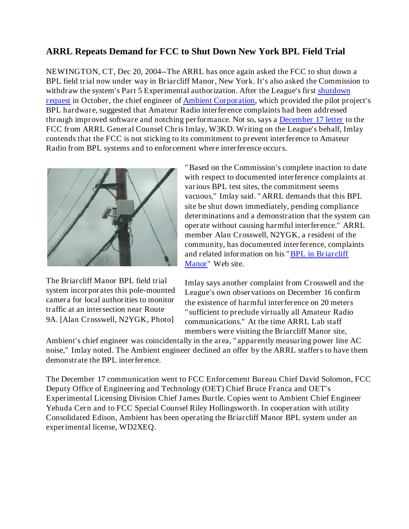## **ARRL Repeats Demand for FCC to Shut Down New York BPL Field Trial**

NEWINGTON, CT, Dec 20, 2004--The ARRL has once again asked the FCC to shut down a BPL field trial now under way in Briarcliff Manor, New York. It's also asked the Commission to withdraw the system's Part 5 Experimental authorization. After the League's first shutdown request in October, the chief engineer of Ambient Corporation, which provided the pilot project's BPL hardware, suggested that Amateur Radio interference complaints had been addressed through improved software and notching performance. Not so, says a December 17 letter to the FCC from ARRL General Counsel Chris Imlay, W3KD. Writing on the League's behalf, Imlay contends that the FCC is not sticking to its commitment to prevent interference to Amateur Radio from BPL systems and to enforcement where interference occurs.



The Briarcliff Manor BPL field trial system incorporates this pole-mounted camera for local authorities to monitor traffic at an intersection near Route 9A. [Alan Crosswell, N2YGK, Photo]

"Based on the Commission's complete inaction to date with respect to documented interference complaints at various BPL test sites, the commitment seems vacuous," Imlay said. "ARRL demands that this BPL site be shut down immediately, pending compliance determinations and a demonstration that the system can operate without causing harmful interference." ARRL member Alan Crosswell, N2YGK, a resident of the community, has documented interference, complaints and related information on his "BPL in Briarcliff Manor" Web site.

Imlay says another complaint from Crosswell and the League's own observations on December 16 confirm the existence of harmful interference on 20 meters "sufficient to preclude virtually all Amateur Radio communications." At the time ARRL Lab staff members were visiting the Briarcliff Manor site,

Ambient's chief engineer was coincidentally in the area, "apparently measuring power line AC noise," Imlay noted. The Ambient engineer declined an offer by the ARRL staffers to have them demonstrate the BPL interference.

The December 17 communication went to FCC Enforcement Bureau Chief David Solomon, FCC Deputy Office of Engineering and Technology (OET) Chief Bruce Franca and OET's Experimental Licensing Division Chief James Burtle. Copies went to Ambient Chief Engineer Yehuda Cern and to FCC Special Counsel Riley Hollingsworth. In cooperation with utility Consolidated Edison, Ambient has been operating the Briarcliff Manor BPL system under an experimental license, WD2XEQ.